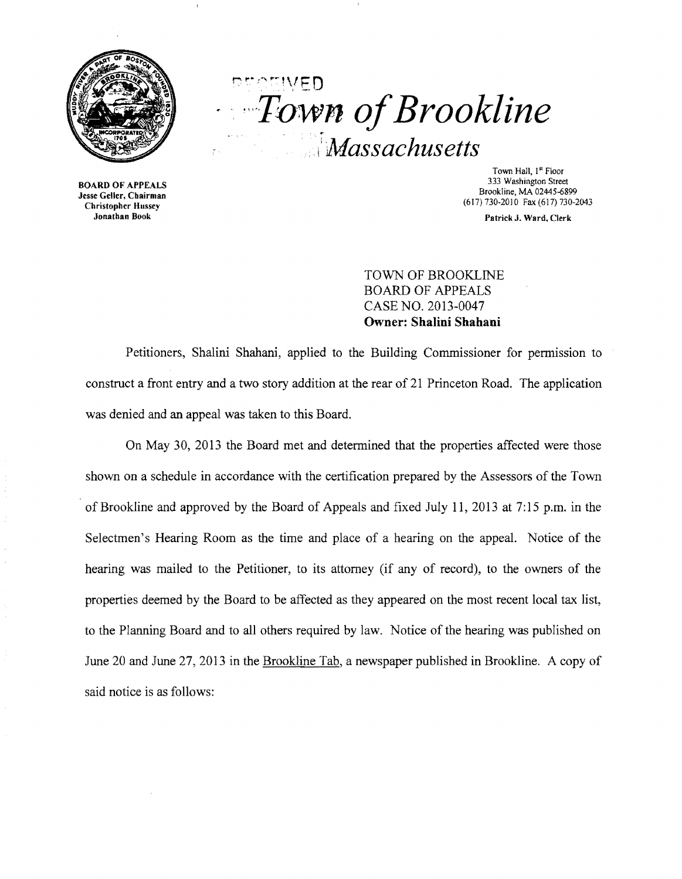

printiveD . '. *,,·T0w.n ofBrookline*  !i *Massachusetts* 

BOARD OF APPEALS Jesse Geller, Chairman Christopher Hussey Jonathan Book

Town Hall, I<sup>st</sup> Floor 333 Washington Street Brookline, MA 02445-6899 (617)730·2010 Fax (617) 730-2043

Patrick J. Ward, Clerk

TOWN OF BROOKLINE BOARD OF APPEALS CASE NO. 2013-0047 **Owner: Shalini Shahani** 

Petitioners, Shalini Shahani, applied to the Building Commissioner for permission to construct a front entry and a two story addition at the rear of 21 Princeton Road. The application was denied and an appeal was taken to this Board.

On May 30, 2013 the Board met and detennined that the properties affected were those shown on a schedule in accordance with the certification prepared by the Assessors of the Town of Brookline and approved by the Board of Appeals and fixed July 11,2013 at 7:15 p.m. in the Selectmen's Hearing Room as the time and place of a hearing on the appeal. Notice of the hearing was mailed to the Petitioner, to its attorney (if any of record), to the owners of the properties deemed by the Board to be affected as they appeared on the most recent local tax list, to the Planning Board and to all others required by law. Notice of the hearing was published on June 20 and June 27,2013 in the Brookline Tab, a newspaper published in Brookline. A copy of said notice is as follows: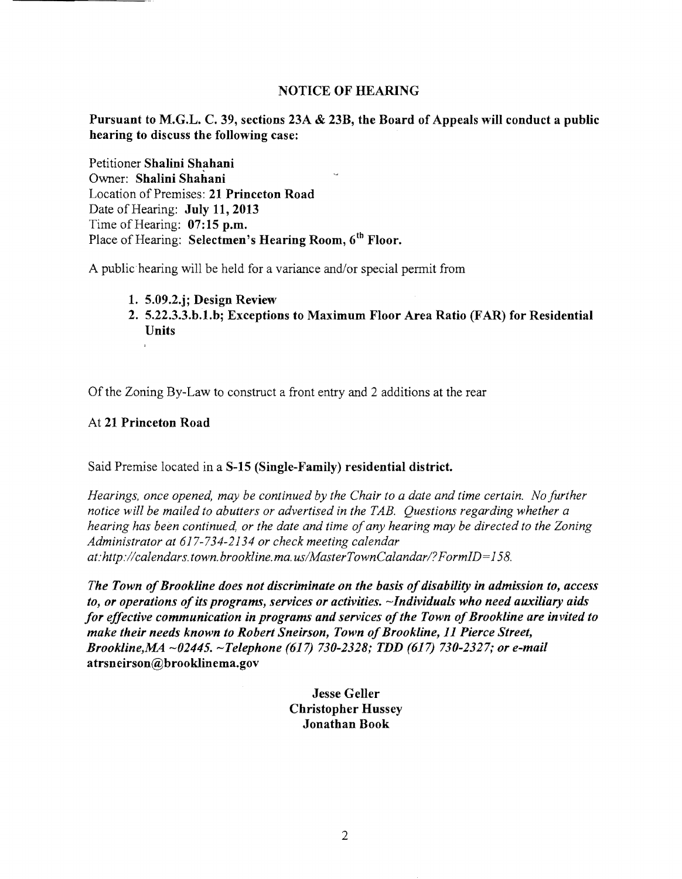### NOTICE OF HEARING

Pursuant to M.G.L. C. 39, sections 23A & 23B, the Board of Appeals will conduct a public hearing to discuss the following case:

Petitioner Shalini Shahani Owner: Shalini Shahani Location of Premises: 21 Princeton Road Date of Hearing: July 11, 2013 Time of Hearing:  $07:15$  p.m. Place of Hearing: Selectmen's Hearing Room, 6<sup>th</sup> Floor.

A public hearing will be held for a variance and/or special permit from

- 1. 5.09.2.j; Design Review
- 2. 5.22.3.3.b.1.bj Exceptions to Maximum Floor Area Ratio (FAR) for Residential Units

Of the Zoning By-Law to construct a front entry and 2 additions at the rear

### At 21 Princeton Road

### Said Premise located in a S-15 (Single-Family) residential district.

*Hearings, once opened, may be continued by the Chair to a date and time certain. No further notice will be mailed to abutters or advertised in the TAB. Questions regarding whether a hearing has been continued, or the date and time ofany hearing may be directed to the Zoning Administrator at* 617-734-2134 *or check meeting calendar at:http://calendars.town.brookline.ma.usIMasterTownCalandarI?FormID=158.* 

*The Town of Brookline does not discriminate on the basis of disability in admission to, access* to, or operations of its programs, services or activities. ~Individuals who need auxiliary aids *for effective communication in programs and services of the Town of Brookline are invited to make their needs known to Robert Sneirson, Town of Brookline, 11 Pierce Street, Brookline,MA* ~02445. *-Telephone* (617) *730-2328; TDD* (617) *730-2327; or e-mail*  atrsneirson@brooklinema.gov

> Jesse Geller Christopher Hussey Jonathan Book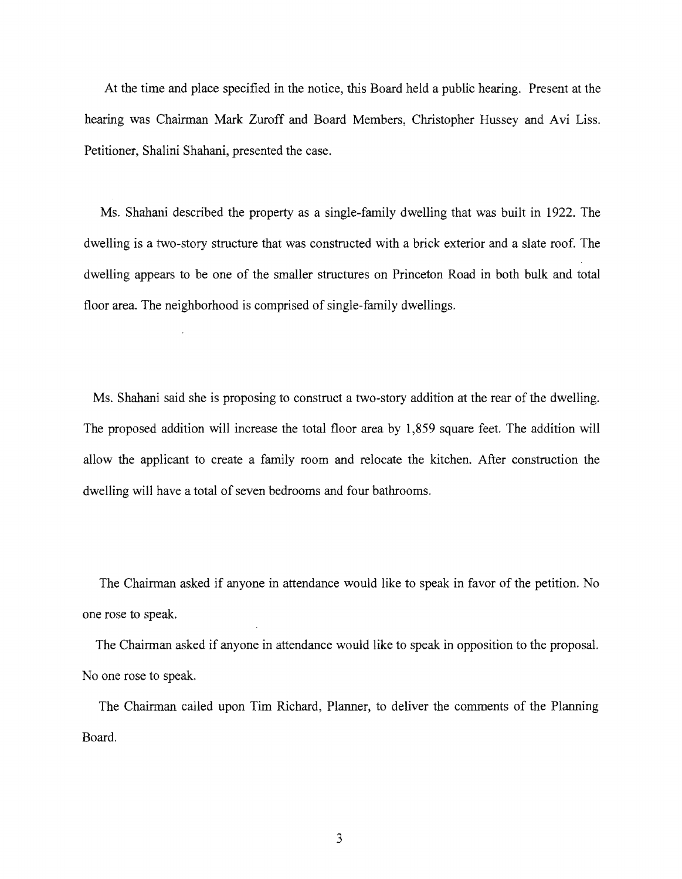At the time and place specified in the notice, this Board held a public hearing. Present at the hearing was Chairman Mark Zuroff and Board Members, Christopher Hussey and Avi Liss. Petitioner, Shalini Shahani, presented the case.

Ms. Shahani described the property as a single-family dwelling that was built in 1922. The dwelling is a two-story structure that was constructed with a brick exterior and a slate roof. The dwelling appears to be one of the smaller structures on Princeton Road in both bulk and total floor area. The neighborhood is comprised of single-family dwellings.

Ms. Shahani said she is proposing to construct a two-story addition at the rear of the dwelling. The proposed addition will increase the total floor area by 1,859 square feet. The addition will allow the applicant to create a family room and relocate the kitchen. After construction the dwelling will have a total of seven bedrooms and four bathrooms.

The Chairman asked if anyone in attendance would like to speak in favor of the petition. No one rose to speak.

The Chairman asked if anyone in attendance would like to speak in opposition to the proposal. No one rose to speak.

The Chainnan called upon Tim Richard, Planner, to deliver the comments of the Planning Board.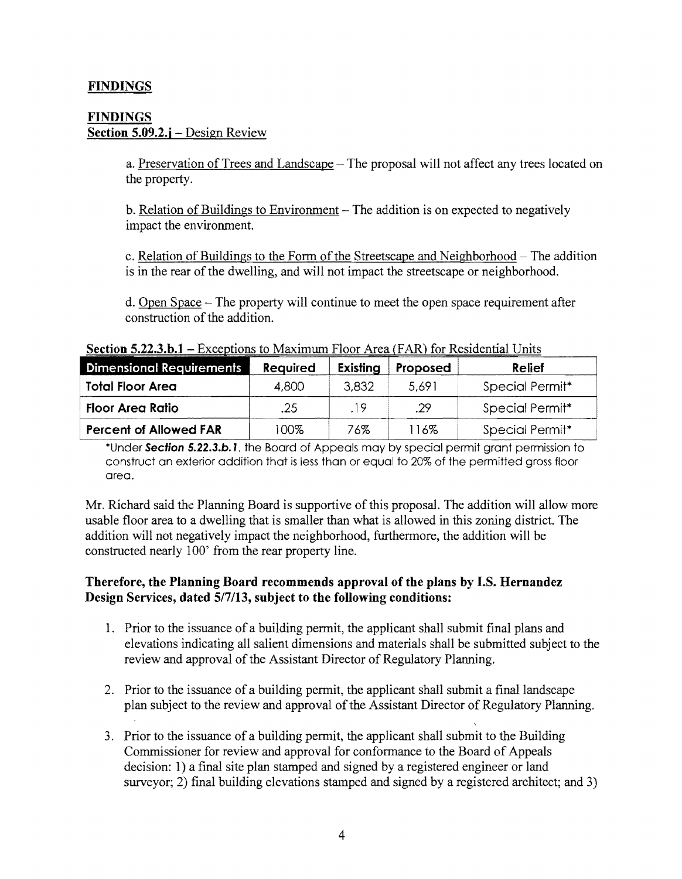# FINDINGS

### FINDINGS Section 5.09.2.j – Design Review

a. Preservation of Trees and Landscape – The proposal will not affect any trees located on the property.

 $b.$  Relation of Buildings to Environment  $-$  The addition is on expected to negatively impact the environment.

c. Relation of Buildings to the Form of the Streetscape and Neighborhood – The addition is in the rear of the dwelling, and will not impact the streetscape or neighborhood.

d. Open Space – The property will continue to meet the open space requirement after construction of the addition.

Section S.22.3.b.1 - Exceptions to Maximum Floor Area (FAR) for Residential Units

| <b>Dimensional Requirements</b> | <b>Required</b> | Existing | Proposed | Relief          |
|---------------------------------|-----------------|----------|----------|-----------------|
| <b>Total Floor Area</b>         | 4,800           | 3.832    | 5,691    | Special Permit* |
| <b>Floor Area Ratio</b>         | .25             | .19      | .29      | Special Permit* |
| <b>Percent of Allowed FAR</b>   | 100%            | 76%      | 116%     | Special Permit* |

\*Under Section S.22.3.b. J, the Board of Appeals may by special permit grant permission to construct an exterior addition that is less than or equal to 20% of the permitted gross floor area.

Mr. Richard said the Planning Board is supportive of this proposal. The addition will allow more usable floor area to a dwelling that is smaller than what is allowed in this zoning district. The addition will not negatively impact the neighborhood, furthermore, the addition will be constructed nearly 100' from the rear property line.

## Therefore, the Planning Board recommends approval of the plans by I.S. Hernandez Design Services, dated *S17/13,* subject to the following conditions:

- 1. Prior to the issuance of a building permit, the applicant shall submit final plans and elevations indicating all salient dimensions and materials shall be submitted subject to the review and approval of the Assistant Director of Regulatory Planning.
- 2. Prior to the issuance of a building permit, the applicant shall submit a final landscape plan subject to the review and approval of the Assistant Director of Regulatory Planning.
- 3. Prior to the issuance of a building permit, the applicant shall submit to the Building Commissioner for review and approval for conformance to the Board of Appeals decision: 1) a final site plan stamped and signed by a registered engineer or land surveyor; 2) final building elevations stamped and signed by a registered architect; and 3)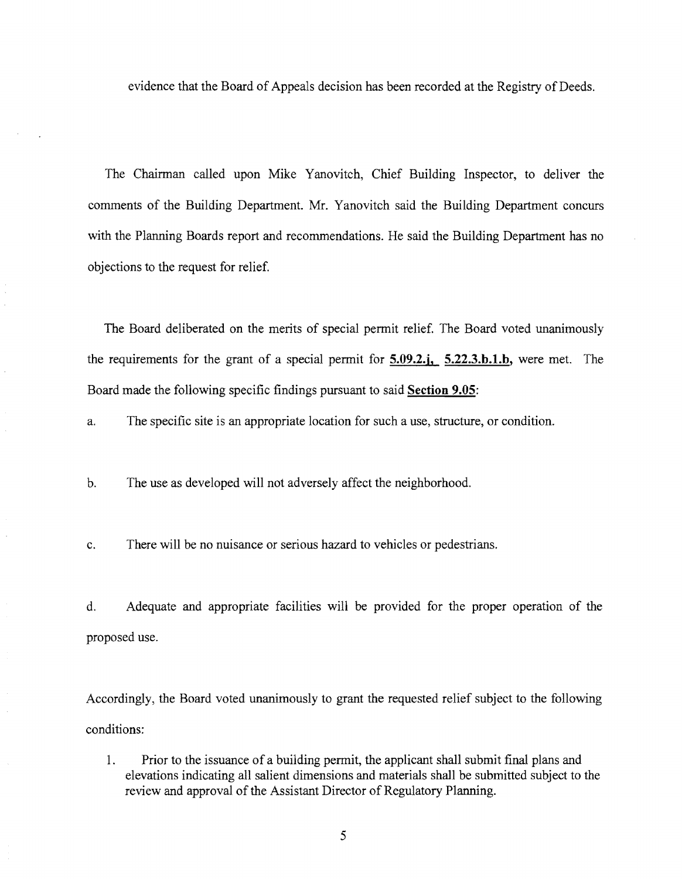evidence that the Board of Appeals decision has been recorded at the Registry of Deeds.

The Chairman called upon Mike Yanovitch, Chief Building Inspector, to deliver the comments of the Building Department. Mr. Yanovitch said the Building Department concurs with the Planning Boards report and recommendations. He said the Building Department has no objections to the request for relief.

The Board deliberated on the merits of special permit relief. The Board voted unanimously the requirements for the grant of a special permit for **5.09.2.j, 5.22.3.h.1.h,** were met. The Board made the following specific findings pursuant to said **Section 9.05:** 

a. The specific site is an appropriate location for such a use, structure, or condition.

b. The use as developed will not adversely affect the neighborhood.

c. There will be no nuisance or serious hazard to vehicles or pedestrians.

d. Adequate and appropriate facilities will be provided for the proper operation of the proposed use.

Accordingly, the Board voted unanimously to grant the requested relief subject to the following conditions:

I. Prior to the issuance of a building permit, the applicant shall submit final plans and elevations indicating all salient dimensions and materials shall be submitted subject to the review and approval of the Assistant Director of Regulatory Planning.

5